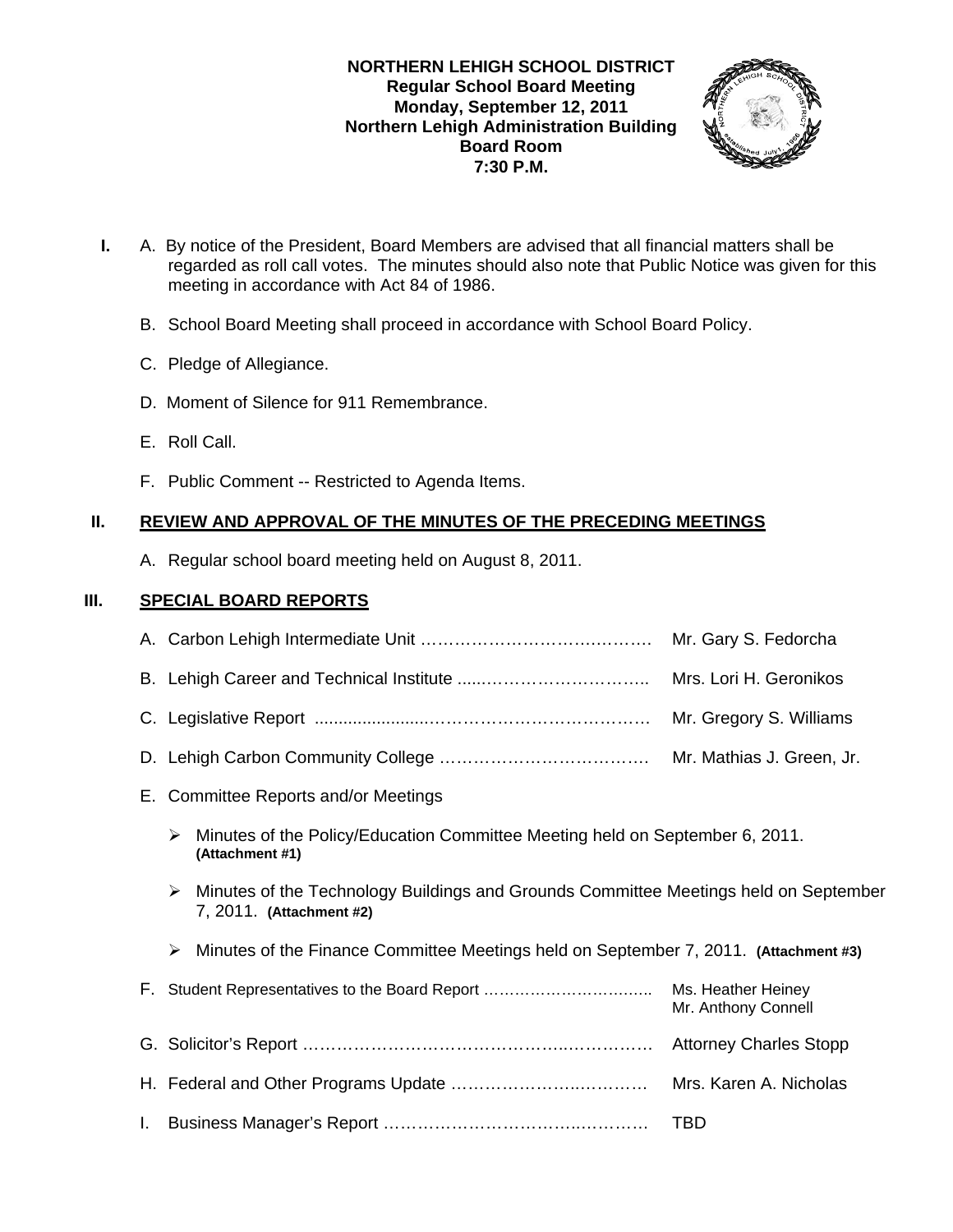### **NORTHERN LEHIGH SCHOOL DISTRICT Regular School Board Meeting Monday, September 12, 2011 Northern Lehigh Administration Building Board Room 7:30 P.M.**



- **I.** A. By notice of the President, Board Members are advised that all financial matters shall be regarded as roll call votes. The minutes should also note that Public Notice was given for this meeting in accordance with Act 84 of 1986.
	- B. School Board Meeting shall proceed in accordance with School Board Policy.
	- C. Pledge of Allegiance.
	- D. Moment of Silence for 911 Remembrance.
	- E. Roll Call.
	- F. Public Comment -- Restricted to Agenda Items.

# **II. REVIEW AND APPROVAL OF THE MINUTES OF THE PRECEDING MEETINGS**

A. Regular school board meeting held on August 8, 2011.

# **III. SPECIAL BOARD REPORTS**

|    |                                                                                                                       | Mr. Gary S. Fedorcha |  |
|----|-----------------------------------------------------------------------------------------------------------------------|----------------------|--|
|    | Mrs. Lori H. Geronikos                                                                                                |                      |  |
|    |                                                                                                                       |                      |  |
|    |                                                                                                                       |                      |  |
|    | E. Committee Reports and/or Meetings                                                                                  |                      |  |
|    | Minutes of the Policy/Education Committee Meeting held on September 6, 2011.<br>➤<br>(Attachment #1)                  |                      |  |
|    | Minutes of the Technology Buildings and Grounds Committee Meetings held on September<br>➤<br>7, 2011. (Attachment #2) |                      |  |
|    | Minutes of the Finance Committee Meetings held on September 7, 2011. (Attachment #3)<br>➤                             |                      |  |
|    |                                                                                                                       | Mr. Anthony Connell  |  |
|    |                                                                                                                       |                      |  |
|    |                                                                                                                       |                      |  |
| L. |                                                                                                                       | TBD                  |  |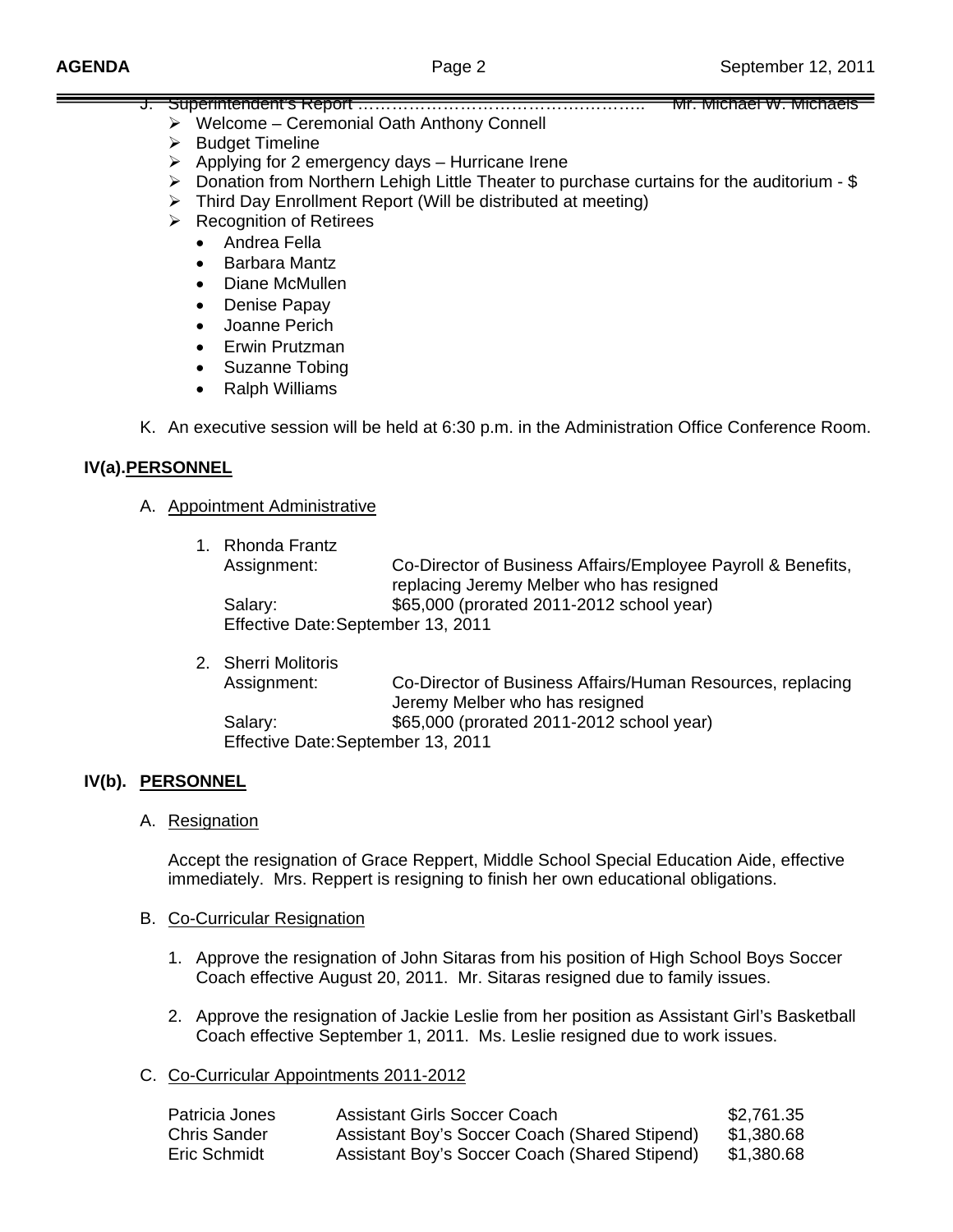Mr. Michael W. Michaels —

|  | <u>). Superintendent s Report ……………………………………………</u>        |
|--|------------------------------------------------------------|
|  | $\triangleright$ Welcome – Ceremonial Oath Anthony Connell |

- ¾ Budget Timeline
- $\triangleright$  Applying for 2 emergency days Hurricane Irene
- ¾ Donation from Northern Lehigh Little Theater to purchase curtains for the auditorium \$
- $\triangleright$  Third Day Enrollment Report (Will be distributed at meeting)
- $\triangleright$  Recognition of Retirees
	- Andrea Fella
	- Barbara Mantz
	- Diane McMullen
	- Denise Papay
	- Joanne Perich
	- Erwin Prutzman
	- Suzanne Tobing
	- Ralph Williams

K. An executive session will be held at 6:30 p.m. in the Administration Office Conference Room.

# **IV(a). PERSONNEL**

# A. Appointment Administrative

| 1. Rhonda Frantz                   |                                                              |  |
|------------------------------------|--------------------------------------------------------------|--|
| Assignment:                        | Co-Director of Business Affairs/Employee Payroll & Benefits, |  |
|                                    | replacing Jeremy Melber who has resigned                     |  |
| Salary:                            | \$65,000 (prorated 2011-2012 school year)                    |  |
| Effective Date: September 13, 2011 |                                                              |  |

| 2. Sherri Molitoris                |                                                            |
|------------------------------------|------------------------------------------------------------|
| Assignment:                        | Co-Director of Business Affairs/Human Resources, replacing |
|                                    | Jeremy Melber who has resigned                             |
| Salary:                            | \$65,000 (prorated 2011-2012 school year)                  |
| Effective Date: September 13, 2011 |                                                            |

# IV(b). **PERSONNEL**

# A. Resignation

 Accept the resignation of Grace Reppert, Middle School Special Education Aide, effective immediately. Mrs. Reppert is resigning to finish her own educational obligations.

# B. Co-Curricular Resignation

- 1. Approve the resignation of John Sitaras from his position of High School Boys Soccer Coach effective August 20, 2011. Mr. Sitaras resigned due to family issues.
- 2. Approve the resignation of Jackie Leslie from her position as Assistant Girl's Basketball Coach effective September 1, 2011. Ms. Leslie resigned due to work issues.

# C. Co-Curricular Appointments 2011-2012

| Patricia Jones | Assistant Girls Soccer Coach                  | \$2,761.35 |
|----------------|-----------------------------------------------|------------|
| Chris Sander   | Assistant Boy's Soccer Coach (Shared Stipend) | \$1.380.68 |
| Eric Schmidt   | Assistant Boy's Soccer Coach (Shared Stipend) | \$1.380.68 |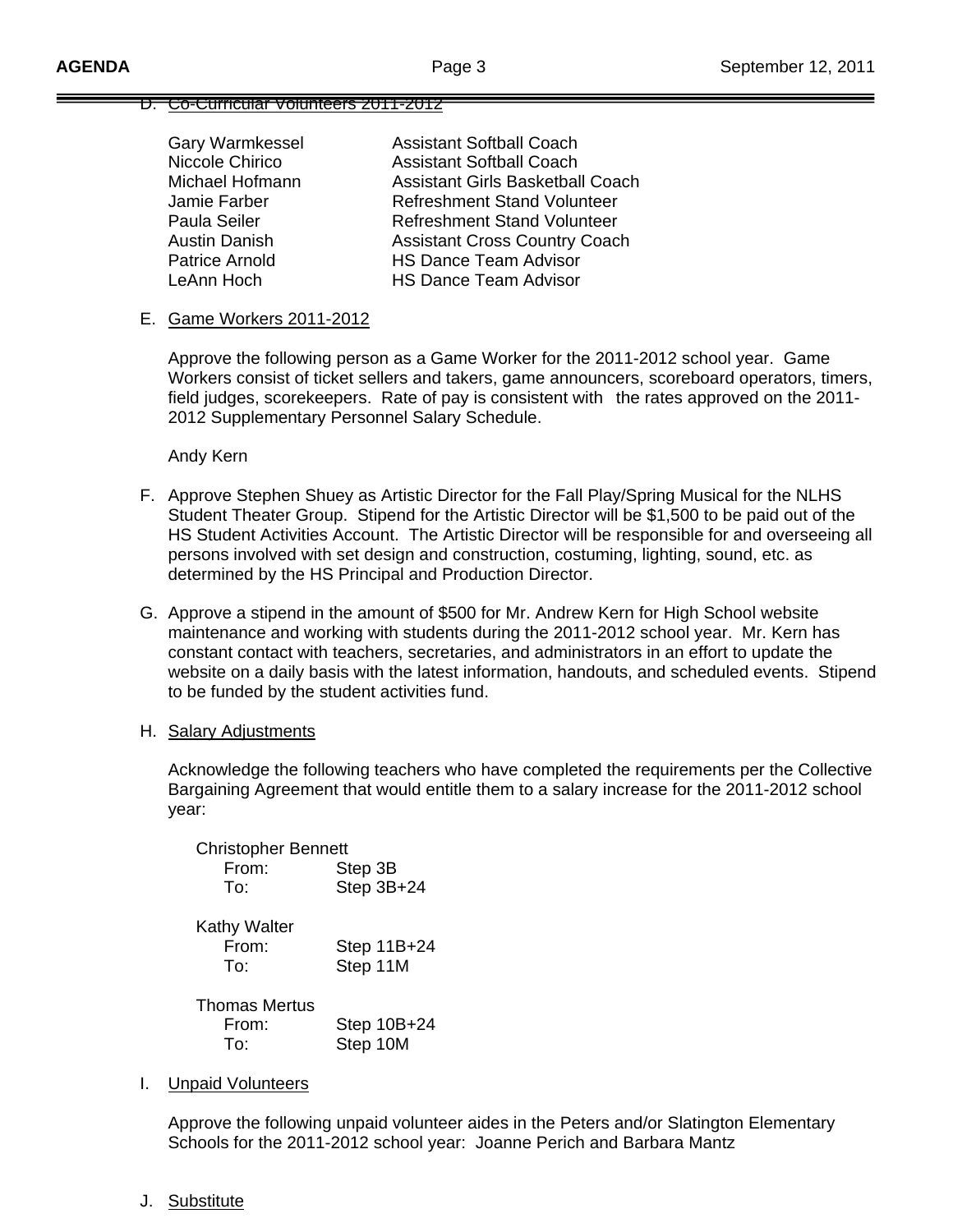#### D. Co-Curricular Volunteers 2011-2012

| <b>Gary Warmkessel</b> | <b>Assistant Softball Coach</b>         |
|------------------------|-----------------------------------------|
| Niccole Chirico        | <b>Assistant Softball Coach</b>         |
| Michael Hofmann        | <b>Assistant Girls Basketball Coach</b> |
| Jamie Farber           | <b>Refreshment Stand Volunteer</b>      |
| Paula Seiler           | <b>Refreshment Stand Volunteer</b>      |
| <b>Austin Danish</b>   | <b>Assistant Cross Country Coach</b>    |
| Patrice Arnold         | <b>HS Dance Team Advisor</b>            |
| LeAnn Hoch             | <b>HS Dance Team Advisor</b>            |
|                        |                                         |

### E. Game Workers 2011-2012

 Approve the following person as a Game Worker for the 2011-2012 school year. Game Workers consist of ticket sellers and takers, game announcers, scoreboard operators, timers, field judges, scorekeepers. Rate of pay is consistent with the rates approved on the 2011- 2012 Supplementary Personnel Salary Schedule.

Andy Kern

- F. Approve Stephen Shuey as Artistic Director for the Fall Play/Spring Musical for the NLHS Student Theater Group. Stipend for the Artistic Director will be \$1,500 to be paid out of the HS Student Activities Account. The Artistic Director will be responsible for and overseeing all persons involved with set design and construction, costuming, lighting, sound, etc. as determined by the HS Principal and Production Director.
- G. Approve a stipend in the amount of \$500 for Mr. Andrew Kern for High School website maintenance and working with students during the 2011-2012 school year. Mr. Kern has constant contact with teachers, secretaries, and administrators in an effort to update the website on a daily basis with the latest information, handouts, and scheduled events. Stipend to be funded by the student activities fund.
- H. Salary Adjustments

Acknowledge the following teachers who have completed the requirements per the Collective Bargaining Agreement that would entitle them to a salary increase for the 2011-2012 school year:

|                      | <b>Christopher Bennett</b> |  |
|----------------------|----------------------------|--|
| From:                | Step 3B                    |  |
| To:                  | Step 3B+24                 |  |
| <b>Kathy Walter</b>  |                            |  |
| From:                | Step 11B+24                |  |
| To:                  | Step 11M                   |  |
| <b>Thomas Mertus</b> |                            |  |
| From:                | Step $10B+24$              |  |
| To:                  | Step 10M                   |  |

I. Unpaid Volunteers

Approve the following unpaid volunteer aides in the Peters and/or Slatington Elementary Schools for the 2011-2012 school year: Joanne Perich and Barbara Mantz

J. **Substitute**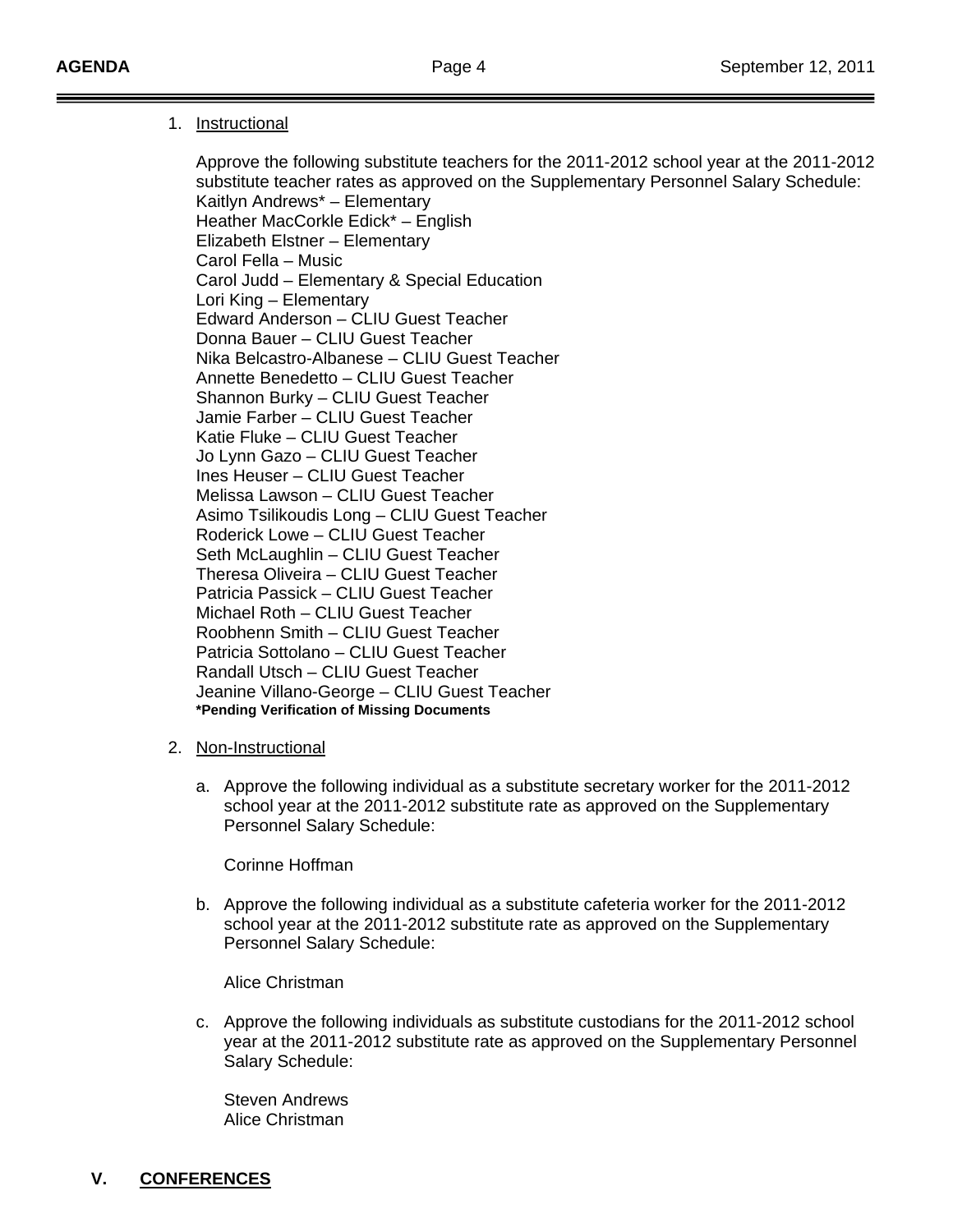# 1. Instructional

 Approve the following substitute teachers for the 2011-2012 school year at the 2011-2012 substitute teacher rates as approved on the Supplementary Personnel Salary Schedule: Kaitlyn Andrews\* – Elementary Heather MacCorkle Edick\* – English Elizabeth Elstner – Elementary Carol Fella – Music Carol Judd – Elementary & Special Education Lori King – Elementary Edward Anderson – CLIU Guest Teacher Donna Bauer – CLIU Guest Teacher Nika Belcastro-Albanese – CLIU Guest Teacher Annette Benedetto – CLIU Guest Teacher Shannon Burky – CLIU Guest Teacher Jamie Farber – CLIU Guest Teacher Katie Fluke – CLIU Guest Teacher Jo Lynn Gazo – CLIU Guest Teacher Ines Heuser – CLIU Guest Teacher Melissa Lawson – CLIU Guest Teacher Asimo Tsilikoudis Long – CLIU Guest Teacher Roderick Lowe – CLIU Guest Teacher Seth McLaughlin – CLIU Guest Teacher Theresa Oliveira – CLIU Guest Teacher Patricia Passick – CLIU Guest Teacher Michael Roth – CLIU Guest Teacher Roobhenn Smith – CLIU Guest Teacher Patricia Sottolano – CLIU Guest Teacher Randall Utsch – CLIU Guest Teacher Jeanine Villano-George – CLIU Guest Teacher **\*Pending Verification of Missing Documents** 

- 2. Non-Instructional
	- a. Approve the following individual as a substitute secretary worker for the 2011-2012 school year at the 2011-2012 substitute rate as approved on the Supplementary Personnel Salary Schedule:

Corinne Hoffman

b. Approve the following individual as a substitute cafeteria worker for the 2011-2012 school year at the 2011-2012 substitute rate as approved on the Supplementary Personnel Salary Schedule:

Alice Christman

c. Approve the following individuals as substitute custodians for the 2011-2012 school year at the 2011-2012 substitute rate as approved on the Supplementary Personnel Salary Schedule:

 Steven Andrews Alice Christman

# **V. CONFERENCES**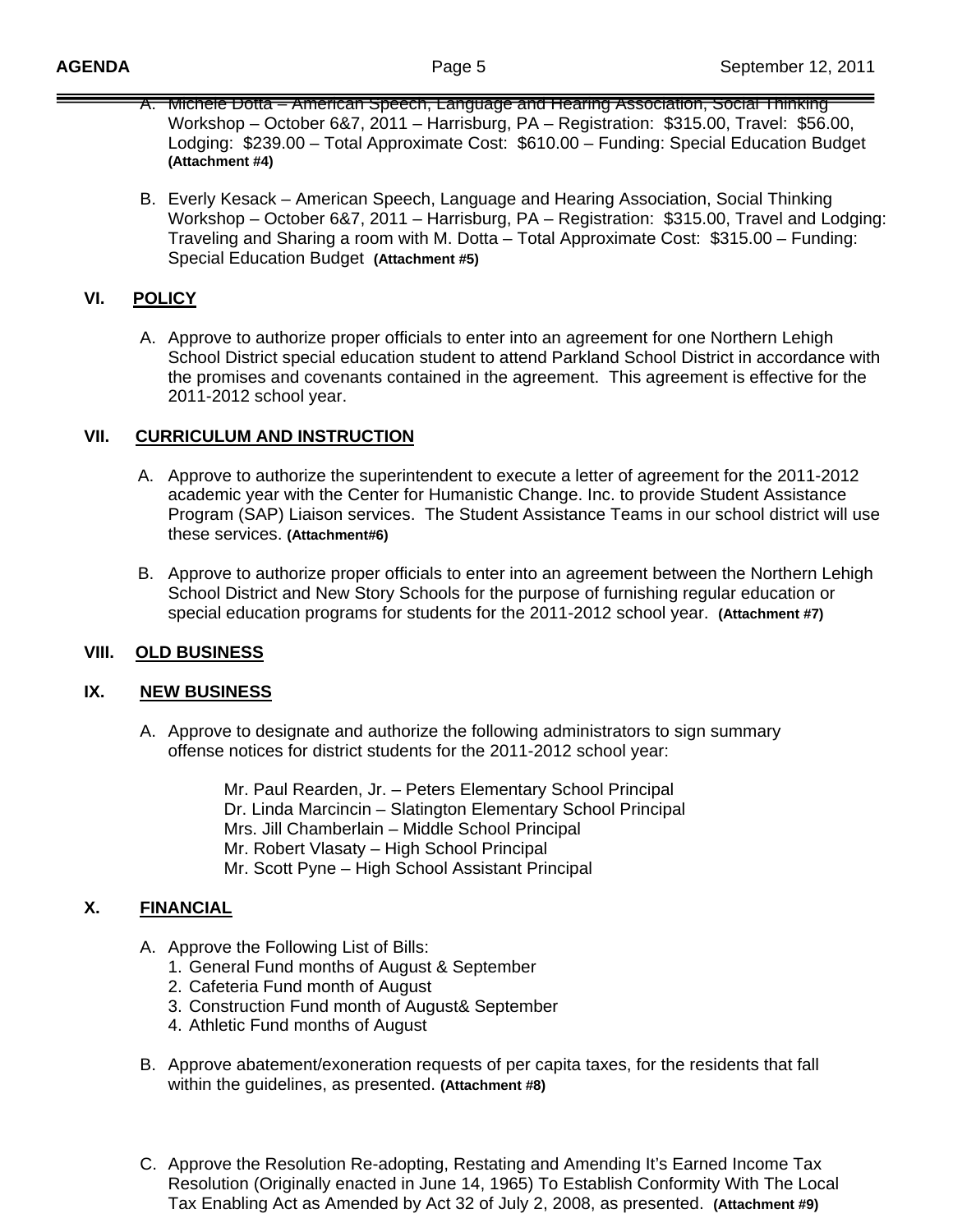- A. Michele Dotta American Speech, Language and Hearing Association, Social Thinking Workshop – October 6&7, 2011 – Harrisburg, PA – Registration: \$315.00, Travel: \$56.00, Lodging: \$239.00 – Total Approximate Cost: \$610.00 – Funding: Special Education Budget **(Attachment #4)**
- B. Everly Kesack American Speech, Language and Hearing Association, Social Thinking Workshop – October 6&7, 2011 – Harrisburg, PA – Registration: \$315.00, Travel and Lodging: Traveling and Sharing a room with M. Dotta – Total Approximate Cost: \$315.00 – Funding: Special Education Budget **(Attachment #5)**

# **VI. POLICY**

A. Approve to authorize proper officials to enter into an agreement for one Northern Lehigh School District special education student to attend Parkland School District in accordance with the promises and covenants contained in the agreement. This agreement is effective for the 2011-2012 school year.

# **VII. CURRICULUM AND INSTRUCTION**

- A. Approve to authorize the superintendent to execute a letter of agreement for the 2011-2012 academic year with the Center for Humanistic Change. Inc. to provide Student Assistance Program (SAP) Liaison services. The Student Assistance Teams in our school district will use these services. **(Attachment#6)**
- B. Approve to authorize proper officials to enter into an agreement between the Northern Lehigh School District and New Story Schools for the purpose of furnishing regular education or special education programs for students for the 2011-2012 school year. **(Attachment #7)**

# **VIII. OLD BUSINESS**

# **IX. NEW BUSINESS**

A. Approve to designate and authorize the following administrators to sign summary offense notices for district students for the 2011-2012 school year:

> Mr. Paul Rearden, Jr. – Peters Elementary School Principal Dr. Linda Marcincin – Slatington Elementary School Principal Mrs. Jill Chamberlain – Middle School Principal Mr. Robert Vlasaty – High School Principal Mr. Scott Pyne – High School Assistant Principal

# **X. FINANCIAL**

- A. Approve the Following List of Bills:
	- 1. General Fund months of August & September
	- 2. Cafeteria Fund month of August
	- 3. Construction Fund month of August& September
	- 4. Athletic Fund months of August
- B. Approve abatement/exoneration requests of per capita taxes, for the residents that fall within the guidelines, as presented. **(Attachment #8)**
- C. Approve the Resolution Re-adopting, Restating and Amending It's Earned Income Tax Resolution (Originally enacted in June 14, 1965) To Establish Conformity With The Local Tax Enabling Act as Amended by Act 32 of July 2, 2008, as presented. **(Attachment #9)**